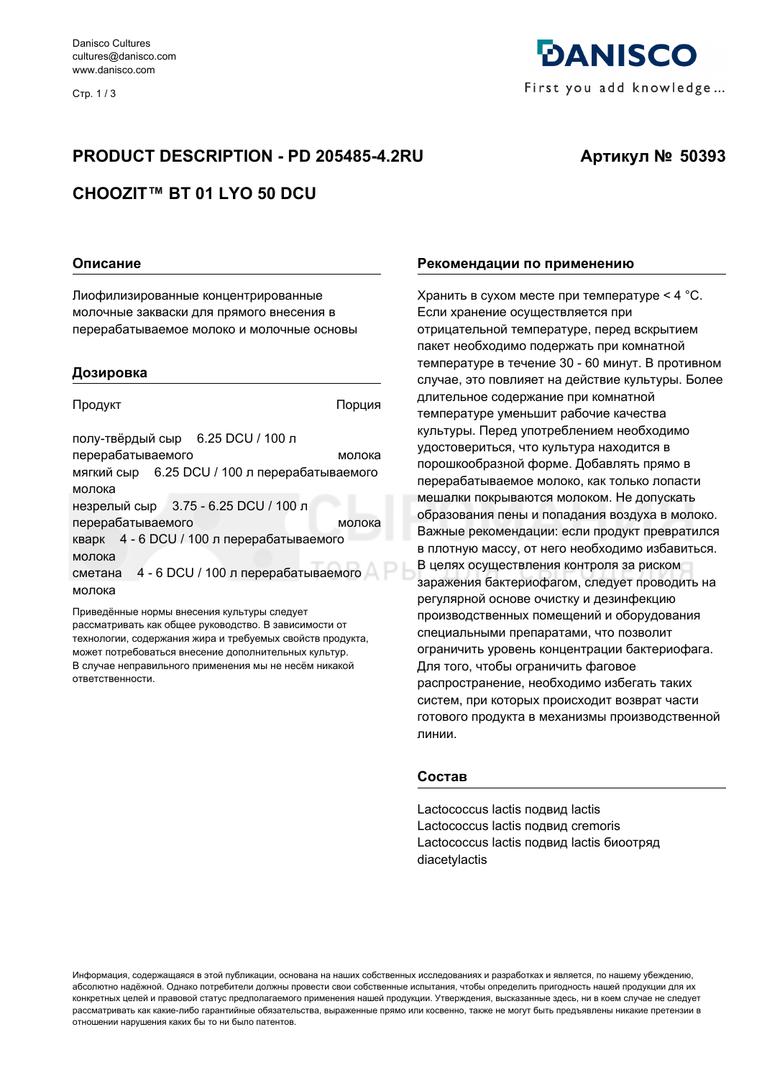Стр. 1/3

# *<u>DANISCO</u>* First you add knowledge...

# **PRODUCT DESCRIPTION - PD 205485-4.2RU**

## Артикул № 50393

## CHOOZIT™ BT 01 LYO 50 DCU

#### Описание

Лиофилизированные концентрированные молочные закваски для прямого внесения в перерабатываемое молоко и молочные основы

#### Дозировка

Продукт

Порция

полу-твёрдый сыр 6.25 DCU / 100 л перерабатываемого молока мягкий сыр 6.25 DCU / 100 л перерабатываемого молока незрелый сыр 3.75 - 6.25 DCU / 100 л перерабатываемого молока кварк 4 - 6 DCU / 100 л перерабатываемого молока сметана 4 - 6 DCU / 100 л перерабатываемого молока

Приведённые нормы внесения культуры следует рассматривать как общее руководство. В зависимости от технологии, содержания жира и требуемых свойств продукта, может потребоваться внесение дополнительных культур. В случае неправильного применения мы не несём никакой ответственности.

#### Рекомендации по применению

Хранить в сухом месте при температуре < 4 °С. Если хранение осуществляется при отрицательной температуре, перед вскрытием пакет необходимо подержать при комнатной температуре в течение 30 - 60 минут. В противном случае, это повлияет на действие культуры. Более длительное содержание при комнатной температуре уменьшит рабочие качества культуры. Перед употреблением необходимо удостовериться, что культура находится в порошкообразной форме. Добавлять прямо в перерабатываемое молоко, как только лопасти мешалки покрываются молоком. Не допускать образования пены и попадания воздуха в молоко. Важные рекомендации: если продукт превратился в плотную массу, от него необходимо избавиться. В целях осуществления контроля за риском заражения бактериофагом, следует проводить на регулярной основе очистку и дезинфекцию производственных помещений и оборудования специальными препаратами, что позволит ограничить уровень концентрации бактериофага. Для того, чтобы ограничить фаговое распространение, необходимо избегать таких систем, при которых происходит возврат части готового продукта в механизмы производственной линии.

#### Состав

Lactococcus lactis подвид lactis Lactococcus lactis подвид cremoris Lactococcus lactis подвид lactis биоотряд diacetylactis

Информация, содержащаяся в этой публикации, основана на наших собственных исследованиях и разработках и является, по нашему убеждению, абсолютно надёжной. Однако потребители должны провести свои собственные испытания, чтобы определить пригодность нашей продукции для их конкретных целей и правовой статус предполагаемого применения нашей продукции. Утверждения, высказанные здесь, ни в коем случае не следует рассматривать как какие-либо гарантийные обязательства, выраженные прямо или косвенно, также не могут быть предъявлены никакие претензии в отношении нарушения каких бы то ни было патентов.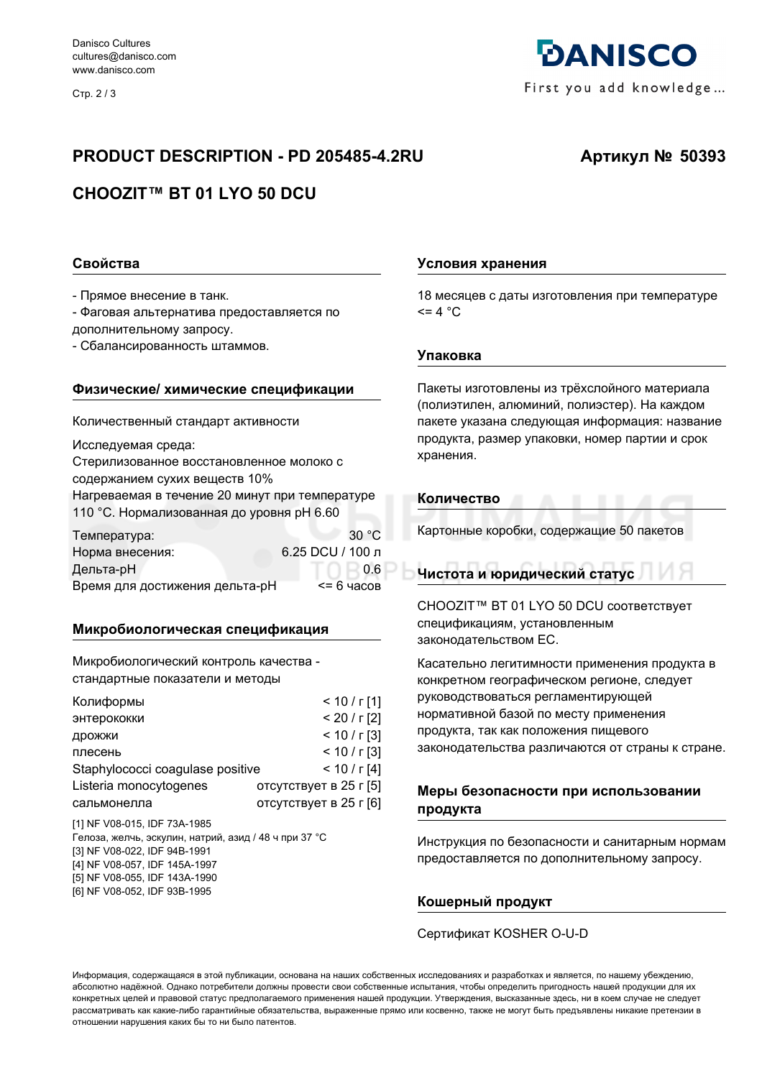Стр. 2/3

## **PRODUCT DESCRIPTION - PD 205485-4.2RU**

# CHOOZIT™ BT 01 LYO 50 DCU

#### Свойства

- Прямое внесение в танк.

- Фаговая альтернатива предоставляется по дополнительному запросу.

- Сбалансированность штаммов.

#### Физические/ химические спецификации

Количественный стандарт активности

Исследуемая среда:

Стерилизованное восстановленное молоко с содержанием сухих веществ 10% Нагреваемая в течение 20 минут при температуре 110 °С. Нормализованная до уровня рН 6.60

| Температура:                   | 30 $\degree$ C   |
|--------------------------------|------------------|
| Норма внесения:                | 6.25 DCU / 100 л |
| Дельта-рН                      | 0.6              |
| Время для достижения дельта-рН | $<$ = 6 часов    |

#### Микробиологическая спецификация

Микробиологический контроль качества стандартные показатели и методы

| Колиформы                        | $< 10 / r$ [1]         |
|----------------------------------|------------------------|
| энтерококки                      | $< 20 / r$ [2]         |
| дрожжи                           | $< 10 / r$ [3]         |
| плесень                          | $< 10 / r$ [3]         |
| Staphylococci coagulase positive | < 10 / r[4]            |
| Listeria monocytogenes           | отсутствует в 25 г [5] |
| сальмонелла                      | отсутствует в 25 г [6] |

[1] NF V08-015 IDF 73A-1985 Гелоза, желчь, эскулин, натрий, азид / 48 ч при 37 °С [3] NF V08-022, IDF 94B-1991 [4] NF V08-057, IDF 145A-1997 [5] NF V08-055, IDF 143A-1990 [6] NF V08-052, IDF 93B-1995

#### Условия хранения

18 месяцев с даты изготовления при температуре  $= 4 °C$ 

#### **Упаковка**

Пакеты изготовлены из трёхслойного материала (полиэтилен, алюминий, полиэстер). На каждом пакете указана следующая информация: название продукта, размер упаковки, номер партии и срок хранения.

#### Количество

Картонные коробки, содержащие 50 пакетов

#### Чистота и юридический статус

CHOOZIT™ BT 01 LYO 50 DCU COOTBETCTBVET спецификациям, установленным законодательством ЕС.

Касательно легитимности применения продукта в конкретном географическом регионе, следует руководствоваться регламентирующей нормативной базой по месту применения продукта, так как положения пищевого законодательства различаются от страны к стране.

#### Меры безопасности при использовании продукта

Инструкция по безопасности и санитарным нормам предоставляется по дополнительному запросу.

#### Кошерный продукт

#### Сертификат KOSHER O-U-D

Информация, содержащаяся в этой публикации, основана на наших собственных исследованиях и разработках и является, по нашему убеждению, абсолютно надёжной. Однако потребители должны провести свои собственные испытания, чтобы определить пригодность нашей продукции для их конкретных целей и правовой статус предполагаемого применения нашей продукции. Утверждения, высказанные здесь, ни в коем случае не следует рассматривать как какие-либо гарантийные обязательства, выраженные прямо или косвенно, также не могут быть предъявлены никакие претензии в отношении нарушения каких бы то ни было патентов.



# Артикул № 50393